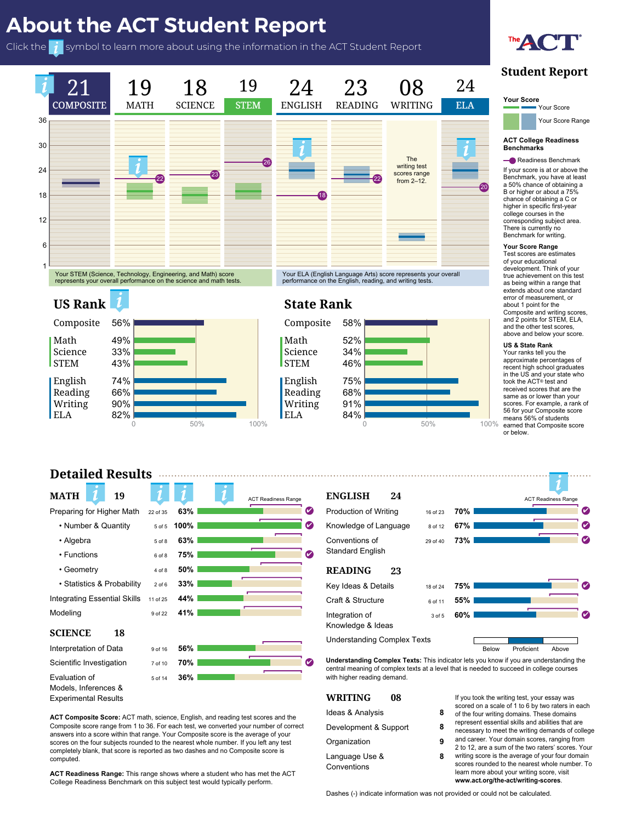

# **Detailed Results**

## **Understanding Complex Texts:** This indicator lets you know if you are understanding the  $\blacksquare$  called, a **Purple Crieck mark** appears to th **I** right of the corresponding reporting category. **G** 08 If you took the writing test, your essay was **MATH** Preparing for Higher Math 22 of 35  $m$  bord  $\alpha$  definity • Algebra **Brand** Bof 8 1 • Functions **MATH** • Number & Quantity • Functions • Algebra • Functions • Geometry • Statistics & Probability 2 Integrating Essential Skills 11 Modeling Modeling **NCE** 18 **etation of Data** 9 of 16 Scientific Investigation Evaluation of  $5 \text{ of } 14$  36<sup>9</sup>  $M<sub>1</sub>$  or ation or<br>s, Inferences & **ENGLISHER ACT Readiness Range ACT Reading ACT Reading ACT Reading ACT Reading ACT Reading ACT Reading ACT Reading ACT Reading ACT Reading ACT Reading ACT Reading ACT Reading ACT Reading ACT Reading ACT Reading ACT Reading** 22 of 35 **63%**<br> **ENGLISHER STATE STATE STATE STATE STATE STATE STATE STATE STATE STATE STATE STATE STATE STATE STATE STATE STATE STATE STATE STATE STATE STATE STATE STATE STATE STATE STATE STATE STATE STATE STATE STATE STA** how their performance on ea porting category compare Standard English ✔ **ENGLISH 19 24** Knowledge of Language ✔ 8 of 12 Standard English Standard Englishstudents who have met the ACT **READING 23** Kindespee Craft & Structure Integration of and the standard control of the standard state of the standard state of the state of the state Knowledge & Ideas ✔ Understanding Complex Texts **Detailed Results** If the student scores within the ACT Reading **08** Knowledge & Ideas **08 08 75%** 4 of 8 **50%** 5 of 8 **50% 50%** 2 of 6 6 of 8 **33% 33% 44%**  $\frac{41\%}{2}$ **56%** 7 of 10 **70% 63% 100% 63%**  $\overline{\phantom{a}}$   $\overline{\phantom{a}}$ **56% 70% 36%**  $\bullet$  $\overline{\phantom{a}}$ 6 of 11 **23** 6 of 11 3 of 5 3 of 5 **75% 55% 55% 60%** ✔ earned that Composite score **ACT Readiness Range**  $P$  • Algebra • Functions **Scientific Investigation** 7 of 10 models, Inferences &<br>Experimental Results ege Redamess Beneming Knowledge of Language  $\frac{1}{2}$ Range, a **Purple Check Mark** appears to the Integration of  $\sim$   $\mu$ 11 of 25 **63% 63% 33% 44% 41%** ✔ 8 of 12 3 of 5 **67% 73% 60% 23** College Readiness benchmarks for **2006 MATH** • Number & Quantity  $\log$  9 of 22 **SCIENCE** 18 Interpretation of Data riew their performance of each Knowledge & Ideas **H** 19 Below Proficient Above 22 of 35 **63%** 9 of 16 **36% 63% 100% 63% 75% 50% 33% 41% 56% WRITING** 08 6 of 11 **70% 75% 55% ACT Report ACT Reading ACT Reading ACT Reading Contract Report ACT Reading Contract Reading Contract Reading Contract Reading Contract Reading Contract Reading Contract Reading Contract Reading Contract Reading Contract R** student's composite. with the ca **MATH** Models, Inferences & test, the reporting category Evaluation of& If the student scores within the ACT Readiness **18 18** 5 of 5 5 of 8 6 of 8 6 of 8 4 of 8 4 of 8 2 of 6 2 of 6 11 of 25 9 of 16 7 of 10 5 of 14 **63% 100%** ✔  $\frac{1}{2}$ **75%** ✔ ✔ ✔ ✔ ✔ ACT Readiness Rar<sup>e</sup> **The ACT Readiness Range** enables **REPORTING CO**  $\epsilon$  right of the corresponding reporting category right of the corresponding reporting category. of Students to see at a gla<br>w their performance of<br>angularity comportions category **8898**<br> **19 EXECUTE AND AND AND AND SERVIEW SERVIEW SERVIEW SERVIEW SERVIEW SERVIEW SERVIEW SERVIEW SERVIEW SERVIEW SERVIEW SERVIEW SERVIEW SERVIEW SERVIEW SERVIEW SERVIEW SERVIEW SERVIEW SERVIEW SERVIEW SERVIEW SERVIEW** Your interests are fairly similar to the interests of college students in the major you plan to enter. Students in majors fit their interests are often more satisfied with 22 of 355 of 55 of 8 100%<br>
5 of 8<br>
6 of 8<br>
6 of 8<br>
4 of 8<br>
50%<br>
2 of 6<br>
33%<br>
9 of 22<br>
41%<br>
9 of 16<br>
56%<br>
7 of 10<br>
7 0%<br>
5 of 4<br>
3**8%** 63%<br>
00%<br>
63%<br>
75%<br>
75%<br>
33%<br>
44%<br>
44%<br>
41%<br>
41%<br>
44%<br>
56% ✔✔ glancce<br>
e on each<br>
mpares to<br>
et the ACT<br>
chmarks for<br>
viect.<br>
<sub>8 of 11</sub> 55%<br>
<sub>3 of 5</sub> 60% This number represents the present of the second contract of the second contract of the second contract of the number of **Total Points Points Points Points Points Points Points Points Points Points Points Points Points Points** for each reporting Category  $\frac{1}{2}$  s of 14 **36%**  $\cos \alpha$ provided and percentage of  $p$ The **Bars** show a visual representation of the student's performance. how their performance on each

ELA

**omposite Score:** ACT math, science, English, and reading test scores and the Act Composite Score: Act main, science, Linguish, and reading lest scores and the<br>Composite score range from 1 to 36. For each test, we converted your number of correct<br>answers into a score within that range. Your Composit Composite score range from 1 to 36. For each test, we converted your number of correct<br>answers into a score within that range. Your Composite score is the average of your scores on the four subjects rounded to the nearest whole number. If you left any test<br>corresponds that corresponds that corresponds the procedure of the corresponding to the corresponding to the corresponding to the corres concerned to the four desired as two dashes and no Composite score is<br>completely blank, that score is reported as two dashes and no Composite score is **ACT Readiness Range:** This range shows where a student who has met the ACT  $ed.$ composite score range from 1 to 36. For each test, we converted your number of corrections of corrections of co<br>Corrections of corrections of corrections of corrections of corrections of corrections of corrections of corre ACT Composite Score: ACT math, science, English, and reading test scores and the computed. aluation of<br>
dels, Inferences &<br>
berimental Results<br> **Composite Score:** ACT math, science, English, and reading test scores and the<br> **Composite Score:** ACT math, science, English, and reading test scores and the<br>
meposite solution<br>
Solution<br>
Solution<br>
performance Score: ACT math, s<br>
site score range from 1 to 36.<br>
Is into a score within that range<br>
or blank, that score is reporte<br>
ed<br>
Solution<br>
Solution<br>
Solution<br>
Solution<br>
Solution<br>
Soluti **Composite Score:** ACT math, science, English, and reading tes<br>posite score range from 1 to 36. For each test, we converted your<br>were into a score within that range. Your Composite score is the a

## $\cdots$

**Example 1999**<br>
Ideas & Analysis<br> **Reporting demand the**<br> **Properties** <sup>er of correct Development & Support **8**<br>of your</sup> ft any test **Organization 9** and areas **9** and  $\frac{1}{2}$ Language Use & 2001 **WRITING**  $\overline{\mathbf{D}}$ Conventions Language Use & Conventions

Ideas & Analysis

**08**

84%

scored on a scale of 1 to 6 by two raters in each of the four writing domains. These domains represent essential skills and abilities that are ent & Support **8** ecessary to meet the writing demands of college on **g** and career. Your domain scores, ranging from 2 to 12, are a sum of the two raters' scores. Your  $\epsilon$  to  $\epsilon$ , and a sum of the two fatters scores writing score is the average of your four domain scores rounded to the nearest whole number. To learn more about your writing score, visit **was about your writing score, visit** ank, that score is reported as two dashes and no Composite score is<br>
Language Use &<br>
Conventions and the nearest whole number. To<br>
Conventions and the nearest whole number. To

at or below this

of the four writing domains. These domains

 $\sim$   $\sim$  $\overline{\phantom{a}}$   $\overline{\phantom{a}}$   $\overline{\phantom{a}}$   $\overline{\phantom{a}}$   $\overline{\phantom{a}}$   $\overline{\phantom{a}}$   $\overline{\phantom{a}}$   $\overline{\phantom{a}}$   $\overline{\phantom{a}}$   $\overline{\phantom{a}}$   $\overline{\phantom{a}}$   $\overline{\phantom{a}}$   $\overline{\phantom{a}}$   $\overline{\phantom{a}}$   $\overline{\phantom{a}}$   $\overline{\phantom{a}}$   $\overline{\phantom{a}}$   $\overline{\phantom{a}}$   $\overline{\$  $\sim$   $\sim$ means 56% of students

✔✔

✔✔

www.act.org/the-act/writing-scores.

'<br>**ACT Readiness Range:** This range shows where a student who has met the ACT College Readiness Benchmark on this subject test would typically perform. completely blank, that score is reported as two dashes and no Composite score is